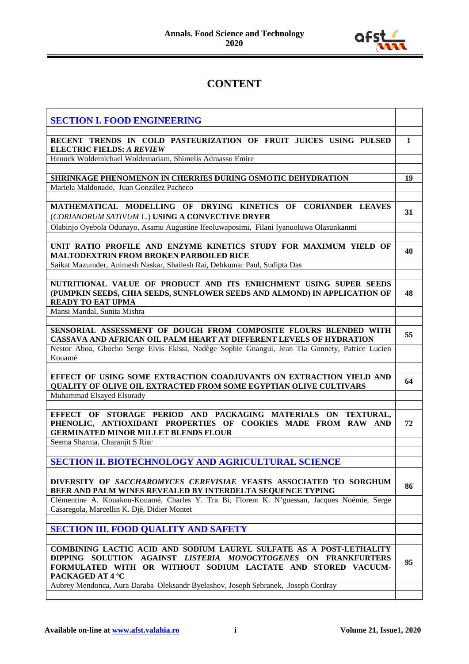

## **CONTENT**

| <b>SECTION I. FOOD ENGINEERING</b>                                                                                                                                                                                         |              |
|----------------------------------------------------------------------------------------------------------------------------------------------------------------------------------------------------------------------------|--------------|
| RECENT TRENDS IN COLD PASTEURIZATION OF FRUIT JUICES USING PULSED<br><b>ELECTRIC FIELDS: A REVIEW</b>                                                                                                                      | $\mathbf{1}$ |
| Henock Woldemichael Woldemariam, Shimelis Admassu Emire                                                                                                                                                                    |              |
|                                                                                                                                                                                                                            |              |
| SHRINKAGE PHENOMENON IN CHERRIES DURING OSMOTIC DEHYDRATION<br>Mariela Maldonado, Juan González Pacheco                                                                                                                    | 19           |
|                                                                                                                                                                                                                            |              |
| MATHEMATICAL MODELLING OF DRYING KINETICS OF CORIANDER LEAVES<br>(CORIANDRUM SATIVUM L.) USING A CONVECTIVE DRYER                                                                                                          | 31           |
| Olabinjo Oyebola Odunayo, Asamu Augustine Ifeoluwaposimi, Filani Iyanuoluwa Olasunkanmi                                                                                                                                    |              |
|                                                                                                                                                                                                                            |              |
| UNIT RATIO PROFILE AND ENZYME KINETICS STUDY FOR MAXIMUM YIELD OF<br>MALTODEXTRIN FROM BROKEN PARBOILED RICE                                                                                                               | 40           |
| Saikat Mazumder, Animesh Naskar, Shailesh Rai, Debkumar Paul, Sudipta Das                                                                                                                                                  |              |
| NUTRITIONAL VALUE OF PRODUCT AND ITS ENRICHMENT USING SUPER SEEDS<br>(PUMPKIN SEEDS, CHIA SEEDS, SUNFLOWER SEEDS AND ALMOND) IN APPLICATION OF<br><b>READY TO EAT UPMA</b>                                                 | 48           |
| Mansi Mandal, Sunita Mishra                                                                                                                                                                                                |              |
|                                                                                                                                                                                                                            |              |
| SENSORIAL ASSESSMENT OF DOUGH FROM COMPOSITE FLOURS BLENDED WITH<br>CASSAVA AND AFRICAN OIL PALM HEART AT DIFFERENT LEVELS OF HYDRATION                                                                                    | 55           |
| Nestor Aboa, Gbocho Serge Elvis Ekissi, Nadège Sophie Gnangui, Jean Tia Gonnety, Patrice Lucien<br>Kouamé                                                                                                                  |              |
| EFFECT OF USING SOME EXTRACTION COADJUVANTS ON EXTRACTION YIELD AND<br>QUALITY OF OLIVE OIL EXTRACTED FROM SOME EGYPTIAN OLIVE CULTIVARS<br>Muhammad Elsayed Elsorady                                                      | 64           |
|                                                                                                                                                                                                                            |              |
| EFFECT OF STORAGE PERIOD AND PACKAGING MATERIALS ON TEXTURAL,<br>PHENOLIC, ANTIOXIDANT PROPERTIES OF COOKIES MADE FROM RAW AND<br><b>GERMINATED MINOR MILLET BLENDS FLOUR</b>                                              | 72           |
| Seema Sharma, Charanjit S Riar                                                                                                                                                                                             |              |
| SECTION II. BIOTECHNOLOGY AND AGRICULTURAL SCIENCE                                                                                                                                                                         |              |
| DIVERSITY OF SACCHAROMYCES CEREVISIAE YEASTS ASSOCIATED TO SORGHUM<br>BEER AND PALM WINES REVEALED BY INTERDELTA SEQUENCE TYPING                                                                                           | 86           |
| Clémentine A. Kouakou-Kouamé, Charles Y. Tra Bi, Florent K. N'guessan, Jacques Noémie, Serge<br>Casaregola, Marcellin K. Djè, Didier Montet                                                                                |              |
| <b>SECTION III. FOOD QUALITY AND SAFETY</b>                                                                                                                                                                                |              |
|                                                                                                                                                                                                                            |              |
| COMBINING LACTIC ACID AND SODIUM LAURYL SULFATE AS A POST-LETHALITY<br>DIPPING SOLUTION AGAINST LISTERIA MONOCYTOGENES ON FRANKFURTERS<br>FORMULATED WITH OR WITHOUT SODIUM LACTATE AND STORED VACUUM-<br>PACKAGED AT 4 °C | 95           |
| Aubrey Mendonca, Aura Daraba Oleksandr Byelashov, Joseph Sebranek, Joseph Cordray                                                                                                                                          |              |
|                                                                                                                                                                                                                            |              |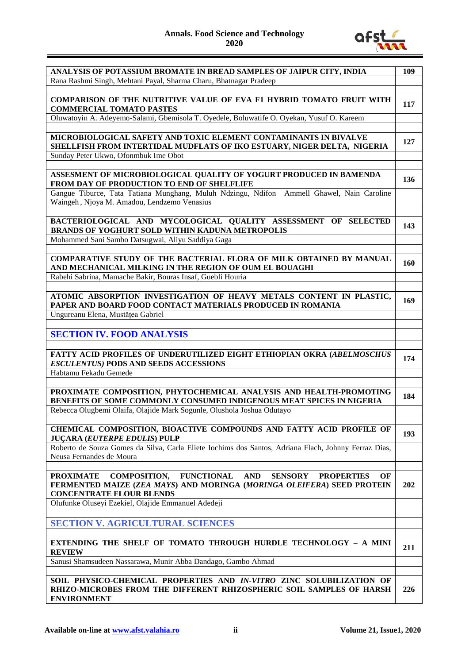## **Annals. Food Science and Technology 2020**



| ANALYSIS OF POTASSIUM BROMATE IN BREAD SAMPLES OF JAIPUR CITY, INDIA                                                                                               | 109        |
|--------------------------------------------------------------------------------------------------------------------------------------------------------------------|------------|
| Rana Rashmi Singh, Mehtani Payal, Sharma Charu, Bhatnagar Pradeep                                                                                                  |            |
|                                                                                                                                                                    |            |
| COMPARISON OF THE NUTRITIVE VALUE OF EVA F1 HYBRID TOMATO FRUIT WITH                                                                                               | 117        |
| <b>COMMERCIAL TOMATO PASTES</b>                                                                                                                                    |            |
| Oluwatoyin A. Adeyemo-Salami, Gbemisola T. Oyedele, Boluwatife O. Oyekan, Yusuf O. Kareem                                                                          |            |
|                                                                                                                                                                    |            |
| MICROBIOLOGICAL SAFETY AND TOXIC ELEMENT CONTAMINANTS IN BIVALVE<br>SHELLFISH FROM INTERTIDAL MUDFLATS OF IKO ESTUARY, NIGER DELTA, NIGERIA                        | 127        |
| Sunday Peter Ukwo, Ofonmbuk Ime Obot                                                                                                                               |            |
|                                                                                                                                                                    |            |
| ASSESMENT OF MICROBIOLOGICAL QUALITY OF YOGURT PRODUCED IN BAMENDA<br>FROM DAY OF PRODUCTION TO END OF SHELFLIFE                                                   | 136        |
| Gangue Tiburce, Tata Tatiana Munghang, Muluh Ndzingu, Ndifon Ammell Ghawel, Nain Caroline                                                                          |            |
| Waingeh, Njoya M. Amadou, Lendzemo Venasius                                                                                                                        |            |
|                                                                                                                                                                    |            |
| BACTERIOLOGICAL AND MYCOLOGICAL QUALITY ASSESSMENT OF SELECTED<br><b>BRANDS OF YOGHURT SOLD WITHIN KADUNA METROPOLIS</b>                                           | 143        |
| Mohammed Sani Sambo Datsugwai, Aliyu Saddiya Gaga                                                                                                                  |            |
|                                                                                                                                                                    |            |
| COMPARATIVE STUDY OF THE BACTERIAL FLORA OF MILK OBTAINED BY MANUAL<br>AND MECHANICAL MILKING IN THE REGION OF OUM EL BOUAGHI                                      | <b>160</b> |
| Rabehi Sabrina, Mamache Bakir, Bouras Insaf, Guebli Houria                                                                                                         |            |
|                                                                                                                                                                    |            |
| ATOMIC ABSORPTION INVESTIGATION OF HEAVY METALS CONTENT IN PLASTIC,                                                                                                |            |
| PAPER AND BOARD FOOD CONTACT MATERIALS PRODUCED IN ROMANIA                                                                                                         | 169        |
| Ungureanu Elena, Mustățea Gabriel                                                                                                                                  |            |
|                                                                                                                                                                    |            |
|                                                                                                                                                                    |            |
| <b>SECTION IV. FOOD ANALYSIS</b>                                                                                                                                   |            |
|                                                                                                                                                                    |            |
| <b>FATTY ACID PROFILES OF UNDERUTILIZED EIGHT ETHIOPIAN OKRA (ABELMOSCHUS</b>                                                                                      | 174        |
| <b>ESCULENTUS) PODS AND SEEDS ACCESSIONS</b>                                                                                                                       |            |
| Habtamu Fekadu Gemede                                                                                                                                              |            |
|                                                                                                                                                                    |            |
| PROXIMATE COMPOSITION, PHYTOCHEMICAL ANALYSIS AND HEALTH-PROMOTING<br>BENEFITS OF SOME COMMONLY CONSUMED INDIGENOUS MEAT SPICES IN NIGERIA                         | 184        |
| Rebecca Olugbemi Olaifa, Olajide Mark Sogunle, Olushola Joshua Odutayo                                                                                             |            |
|                                                                                                                                                                    |            |
| CHEMICAL COMPOSITION, BIOACTIVE COMPOUNDS AND FATTY ACID PROFILE OF<br><b>JUÇARA (EUTERPE EDULIS) PULP</b>                                                         | 193        |
| Roberto de Souza Gomes da Silva, Carla Eliete Iochims dos Santos, Adriana Flach, Johnny Ferraz Dias,                                                               |            |
| Neusa Fernandes de Moura                                                                                                                                           |            |
|                                                                                                                                                                    |            |
| <b>FUNCTIONAL</b><br><b>AND</b><br><b>PROXIMATE</b><br><b>COMPOSITION,</b><br><b>SENSORY</b><br><b>PROPERTIES</b><br>OF                                            |            |
| FERMENTED MAIZE (ZEA MAYS) AND MORINGA (MORINGA OLEIFERA) SEED PROTEIN<br><b>CONCENTRATE FLOUR BLENDS</b>                                                          | 202        |
| Olufunke Oluseyi Ezekiel, Olajide Emmanuel Adedeji                                                                                                                 |            |
|                                                                                                                                                                    |            |
| <b>SECTION V. AGRICULTURAL SCIENCES</b>                                                                                                                            |            |
|                                                                                                                                                                    |            |
| EXTENDING THE SHELF OF TOMATO THROUGH HURDLE TECHNOLOGY - A MINI                                                                                                   |            |
| <b>REVIEW</b>                                                                                                                                                      | 211        |
|                                                                                                                                                                    |            |
| Sanusi Shamsudeen Nassarawa, Munir Abba Dandago, Gambo Ahmad                                                                                                       |            |
|                                                                                                                                                                    |            |
| SOIL PHYSICO-CHEMICAL PROPERTIES AND IN-VITRO ZINC SOLUBILIZATION OF<br>RHIZO-MICROBES FROM THE DIFFERENT RHIZOSPHERIC SOIL SAMPLES OF HARSH<br><b>ENVIRONMENT</b> | 226        |